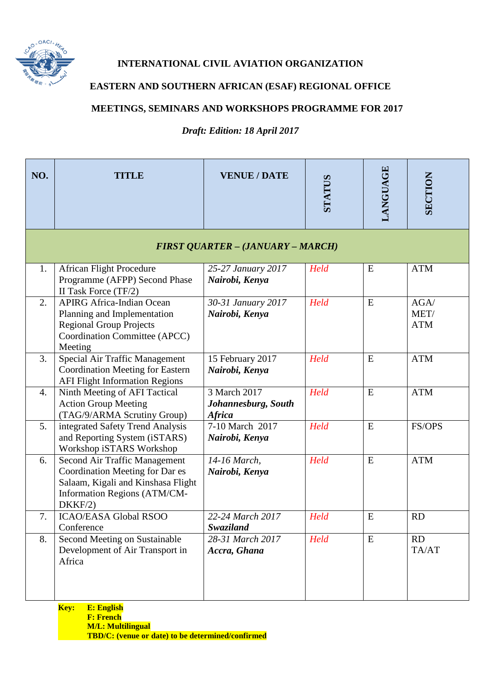

## **INTERNATIONAL CIVIL AVIATION ORGANIZATION**

## **EASTERN AND SOUTHERN AFRICAN (ESAF) REGIONAL OFFICE**

## **MEETINGS, SEMINARS AND WORKSHOPS PROGRAMME FOR 2017**

*Draft: Edition: 18 April 2017*

| NO. | <b>TITLE</b>                                                                                                                                      | <b>VENUE / DATE</b>                                  | STATUS | LANGUAGE  | SECTION                    |  |  |
|-----|---------------------------------------------------------------------------------------------------------------------------------------------------|------------------------------------------------------|--------|-----------|----------------------------|--|--|
|     | <b>FIRST QUARTER - (JANUARY - MARCH)</b>                                                                                                          |                                                      |        |           |                            |  |  |
| 1.  | <b>African Flight Procedure</b><br>Programme (AFPP) Second Phase<br>II Task Force (TF/2)                                                          | 25-27 January 2017<br>Nairobi, Kenya                 | Held   | E         | <b>ATM</b>                 |  |  |
| 2.  | <b>APIRG Africa-Indian Ocean</b><br>Planning and Implementation<br><b>Regional Group Projects</b><br>Coordination Committee (APCC)<br>Meeting     | 30-31 January 2017<br>Nairobi, Kenya                 | Held   | E         | AGA/<br>MET/<br><b>ATM</b> |  |  |
| 3.  | Special Air Traffic Management<br><b>Coordination Meeting for Eastern</b><br><b>AFI Flight Information Regions</b>                                | 15 February 2017<br>Nairobi, Kenya                   | Held   | ${\bf E}$ | <b>ATM</b>                 |  |  |
| 4.  | Ninth Meeting of AFI Tactical<br><b>Action Group Meeting</b><br>(TAG/9/ARMA Scrutiny Group)                                                       | 3 March 2017<br>Johannesburg, South<br><b>Africa</b> | Held   | ${\bf E}$ | <b>ATM</b>                 |  |  |
| 5.  | integrated Safety Trend Analysis<br>and Reporting System (iSTARS)<br>Workshop iSTARS Workshop                                                     | 7-10 March 2017<br>Nairobi, Kenya                    | Held   | E         | FS/OPS                     |  |  |
| 6.  | Second Air Traffic Management<br>Coordination Meeting for Dar es<br>Salaam, Kigali and Kinshasa Flight<br>Information Regions (ATM/CM-<br>DKKF/2) | 14-16 March,<br>Nairobi, Kenya                       | Held   | ${\bf E}$ | <b>ATM</b>                 |  |  |
| 7.  | <b>ICAO/EASA Global RSOO</b><br>Conference                                                                                                        | 22-24 March 2017<br>Swaziland                        | Held   | E         | <b>RD</b>                  |  |  |
| 8.  | Second Meeting on Sustainable<br>Development of Air Transport in<br>Africa                                                                        | 28-31 March 2017<br>Accra, Ghana                     | Held   | E         | <b>RD</b><br>TA/AT         |  |  |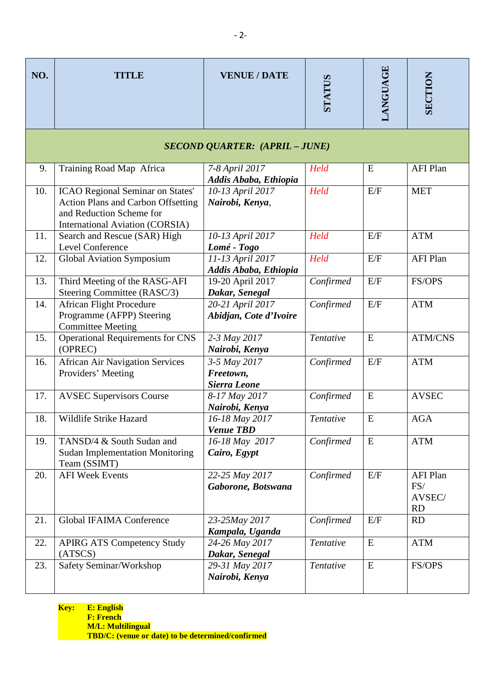| NO. | <b>TITLE</b>                                                                                                                                        | <b>VENUE / DATE</b>                              | STATUS                  | <b>LANGUAGE</b> | SECTION                                       |  |  |
|-----|-----------------------------------------------------------------------------------------------------------------------------------------------------|--------------------------------------------------|-------------------------|-----------------|-----------------------------------------------|--|--|
|     | <b>SECOND QUARTER: (APRIL - JUNE)</b>                                                                                                               |                                                  |                         |                 |                                               |  |  |
| 9.  | Training Road Map Africa                                                                                                                            | 7-8 April 2017<br>Addis Ababa, Ethiopia          | Held                    | E               | <b>AFI Plan</b>                               |  |  |
| 10. | ICAO Regional Seminar on States'<br><b>Action Plans and Carbon Offsetting</b><br>and Reduction Scheme for<br><b>International Aviation (CORSIA)</b> | 10-13 April 2017<br>Nairobi, Kenya,              | Held                    | E/F             | <b>MET</b>                                    |  |  |
| 11. | Search and Rescue (SAR) High<br>Level Conference                                                                                                    | 10-13 April 2017<br>Lomé - Togo                  | Held                    | E/F             | <b>ATM</b>                                    |  |  |
| 12. | <b>Global Aviation Symposium</b>                                                                                                                    | 11-13 April 2017<br>Addis Ababa, Ethiopia        | Held                    | E/F             | <b>AFI Plan</b>                               |  |  |
| 13. | Third Meeting of the RASG-AFI<br>Steering Committee (RASC/3)                                                                                        | 19-20 April 2017<br>Dakar, Senegal               | Confirmed               | E/F             | FS/OPS                                        |  |  |
| 14. | <b>African Flight Procedure</b><br>Programme (AFPP) Steering<br><b>Committee Meeting</b>                                                            | 20-21 April 2017<br>Abidjan, Cote d'Ivoire       | Confirmed               | E/F             | <b>ATM</b>                                    |  |  |
| 15. | <b>Operational Requirements for CNS</b><br>(OPREC)                                                                                                  | 2-3 May 2017<br>Nairobi, Kenya                   | Tentative               | E               | <b>ATM/CNS</b>                                |  |  |
| 16. | <b>African Air Navigation Services</b><br>Providers' Meeting                                                                                        | 3-5 May 2017<br>Freetown,<br><b>Sierra Leone</b> | Confirmed               | E/F             | <b>ATM</b>                                    |  |  |
| 17. | <b>AVSEC Supervisors Course</b>                                                                                                                     | 8-17 May 2017<br>Nairobi, Kenya                  | Confirmed               | E               | <b>AVSEC</b>                                  |  |  |
| 18. | Wildlife Strike Hazard                                                                                                                              | 16-18 May 2017<br><b>Venue TBD</b>               | $\overline{T}$ entative | $\overline{E}$  | AGA                                           |  |  |
| 19. | TANSD/4 & South Sudan and<br><b>Sudan Implementation Monitoring</b><br>Team (SSIMT)                                                                 | 16-18 May 2017<br>Cairo, Egypt                   | Confirmed               | E               | <b>ATM</b>                                    |  |  |
| 20. | <b>AFI Week Events</b>                                                                                                                              | 22-25 May 2017<br>Gaborone, Botswana             | Confirmed               | E/F             | <b>AFI Plan</b><br>FS/<br>AVSEC/<br><b>RD</b> |  |  |
| 21. | <b>Global IFAIMA Conference</b>                                                                                                                     | 23-25May 2017<br>Kampala, Uganda                 | Confirmed               | E/F             | <b>RD</b>                                     |  |  |
| 22. | <b>APIRG ATS Competency Study</b><br>(ATSCS)                                                                                                        | 24-26 May 2017<br>Dakar, Senegal                 | Tentative               | ${\bf E}$       | <b>ATM</b>                                    |  |  |
| 23. | Safety Seminar/Workshop                                                                                                                             | 29-31 May 2017<br>Nairobi, Kenya                 | Tentative               | E               | FS/OPS                                        |  |  |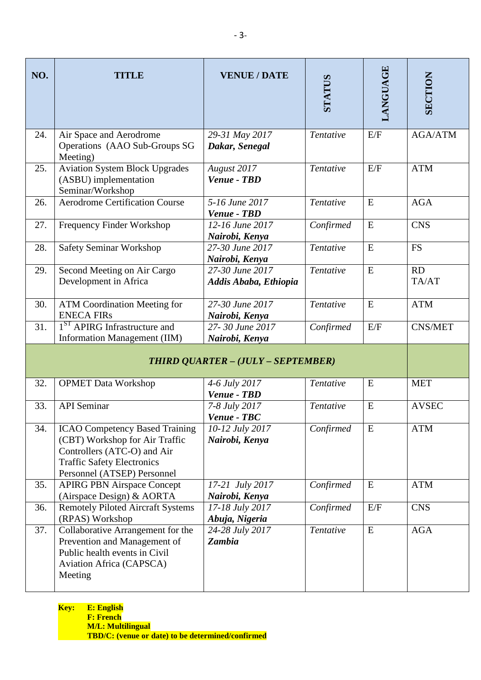| NO.                                | <b>TITLE</b>                                                                                                                                                               | <b>VENUE / DATE</b>                                    | STATUS    | LANGUAGE  | SECTION        |
|------------------------------------|----------------------------------------------------------------------------------------------------------------------------------------------------------------------------|--------------------------------------------------------|-----------|-----------|----------------|
| 24.                                | Air Space and Aerodrome<br>Operations (AAO Sub-Groups SG<br>Meeting)                                                                                                       | 29-31 May 2017<br>Dakar, Senegal                       | Tentative | E/F       | <b>AGA/ATM</b> |
| 25.                                | <b>Aviation System Block Upgrades</b><br>(ASBU) implementation<br>Seminar/Workshop                                                                                         | August 2017<br>Venue - TBD                             | Tentative | E/F       | <b>ATM</b>     |
| 26.                                | <b>Aerodrome Certification Course</b>                                                                                                                                      | 5-16 June 2017<br>Venue - TBD                          | Tentative | E         | <b>AGA</b>     |
| 27.                                | <b>Frequency Finder Workshop</b>                                                                                                                                           | 12-16 June 2017<br>Nairobi, Kenya                      | Confirmed | E         | <b>CNS</b>     |
| 28.                                | <b>Safety Seminar Workshop</b>                                                                                                                                             | 27-30 June 2017<br>Nairobi, Kenya                      | Tentative | E         | <b>FS</b>      |
| 29.                                | Second Meeting on Air Cargo<br>Development in Africa                                                                                                                       | $\overline{27}$ -30 June 2017<br>Addis Ababa, Ethiopia | Tentative | E         | RD<br>TA/AT    |
| 30.                                | <b>ATM Coordination Meeting for</b><br><b>ENECA FIRS</b>                                                                                                                   | 27-30 June 2017<br>Nairobi, Kenya                      | Tentative | E         | <b>ATM</b>     |
| 31.                                | 1 <sup>ST</sup> APIRG Infrastructure and<br>Information Management (IIM)                                                                                                   | 27-30 June 2017<br>Nairobi, Kenya                      | Confirmed | E/F       | <b>CNS/MET</b> |
| THIRD QUARTER - (JULY - SEPTEMBER) |                                                                                                                                                                            |                                                        |           |           |                |
| 32.                                | <b>OPMET Data Workshop</b>                                                                                                                                                 | 4-6 July 2017<br>Venue - TBD                           | Tentative | E         | <b>MET</b>     |
| 33.                                | <b>API</b> Seminar                                                                                                                                                         | 7-8 July 2017<br>Venue - TBC                           | Tentative | E         | <b>AVSEC</b>   |
| 34.                                | <b>ICAO Competency Based Training</b><br>(CBT) Workshop for Air Traffic<br>Controllers (ATC-O) and Air<br><b>Traffic Safety Electronics</b><br>Personnel (ATSEP) Personnel | 10-12 July 2017<br>Nairobi, Kenya                      | Confirmed | E         | <b>ATM</b>     |
| 35.                                | <b>APIRG PBN Airspace Concept</b><br>(Airspace Design) & AORTA                                                                                                             | 17-21 July 2017<br>Nairobi, Kenya                      | Confirmed | E         | <b>ATM</b>     |
| 36.                                | <b>Remotely Piloted Aircraft Systems</b><br>(RPAS) Workshop                                                                                                                | 17-18 July 2017<br>Abuja, Nigeria                      | Confirmed | E/F       | <b>CNS</b>     |
| 37.                                | Collaborative Arrangement for the<br>Prevention and Management of<br>Public health events in Civil<br>Aviation Africa (CAPSCA)<br>Meeting                                  | 24-28 July 2017<br><b>Zambia</b>                       | Tentative | ${\bf E}$ | <b>AGA</b>     |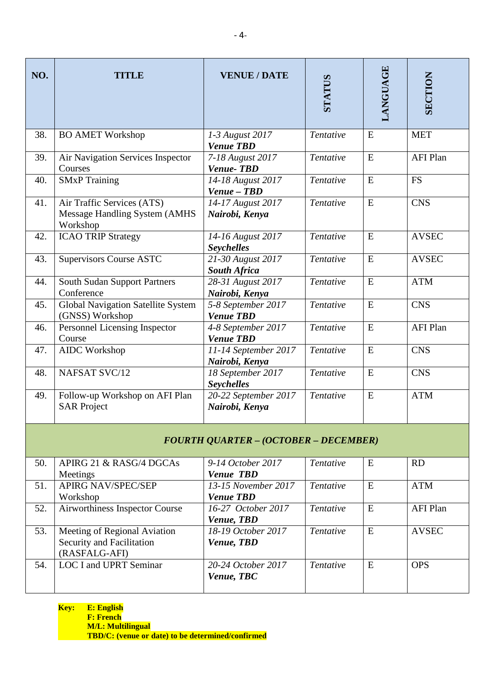| NO.                                          | TITLE                                                                      | <b>VENUE / DATE</b>                      | STATUS    | LANGUAGE  | SECTION         |  |
|----------------------------------------------|----------------------------------------------------------------------------|------------------------------------------|-----------|-----------|-----------------|--|
| 38.                                          | <b>BO AMET Workshop</b>                                                    | 1-3 August 2017<br><b>Venue TBD</b>      | Tentative | E         | <b>MET</b>      |  |
| 39.                                          | Air Navigation Services Inspector<br>Courses                               | 7-18 August 2017<br><b>Venue-TBD</b>     | Tentative | E         | <b>AFI Plan</b> |  |
| 40.                                          | <b>SMxP</b> Training                                                       | 14-18 August 2017<br>Venue - TBD         | Tentative | E         | <b>FS</b>       |  |
| 41.                                          | Air Traffic Services (ATS)<br>Message Handling System (AMHS<br>Workshop    | 14-17 August 2017<br>Nairobi, Kenya      | Tentative | ${\bf E}$ | <b>CNS</b>      |  |
| 42.                                          | <b>ICAO TRIP Strategy</b>                                                  | 14-16 August 2017<br><b>Seychelles</b>   | Tentative | E         | <b>AVSEC</b>    |  |
| 43.                                          | <b>Supervisors Course ASTC</b>                                             | 21-30 August 2017<br><b>South Africa</b> | Tentative | E         | <b>AVSEC</b>    |  |
| 44.                                          | <b>South Sudan Support Partners</b><br>Conference                          | 28-31 August 2017<br>Nairobi, Kenya      | Tentative | E         | <b>ATM</b>      |  |
| 45.                                          | <b>Global Navigation Satellite System</b><br>(GNSS) Workshop               | 5-8 September 2017<br><b>Venue TBD</b>   | Tentative | E         | <b>CNS</b>      |  |
| 46.                                          | Personnel Licensing Inspector<br>Course                                    | 4-8 September 2017<br><b>Venue TBD</b>   | Tentative | E         | <b>AFI Plan</b> |  |
| 47.                                          | <b>AIDC</b> Workshop                                                       | 11-14 September 2017<br>Nairobi, Kenya   | Tentative | E         | <b>CNS</b>      |  |
| 48.                                          | NAFSAT SVC/12                                                              | 18 September 2017<br><b>Seychelles</b>   | Tentative | E         | <b>CNS</b>      |  |
| 49.                                          | Follow-up Workshop on AFI Plan<br><b>SAR Project</b>                       | 20-22 September 2017<br>Nairobi, Kenya   | Tentative | E         | <b>ATM</b>      |  |
| <b>FOURTH QUARTER - (OCTOBER - DECEMBER)</b> |                                                                            |                                          |           |           |                 |  |
| 50.                                          | APIRG 21 & RASG/4 DGCAs<br>Meetings                                        | 9-14 October 2017<br><b>Venue TBD</b>    | Tentative | E         | <b>RD</b>       |  |
| 51.                                          | <b>APIRG NAV/SPEC/SEP</b><br>Workshop                                      | 13-15 November 2017<br><b>Venue TBD</b>  | Tentative | ${\bf E}$ | <b>ATM</b>      |  |
| 52.                                          | Airworthiness Inspector Course                                             | 16-27 October 2017<br>Venue, TBD         | Tentative | E         | <b>AFI Plan</b> |  |
| 53.                                          | Meeting of Regional Aviation<br>Security and Facilitation<br>(RASFALG-AFI) | 18-19 October 2017<br>Venue, TBD         | Tentative | ${\bf E}$ | <b>AVSEC</b>    |  |
| 54.                                          | <b>LOC I and UPRT Seminar</b>                                              | 20-24 October 2017<br>Venue, TBC         | Tentative | E         | <b>OPS</b>      |  |